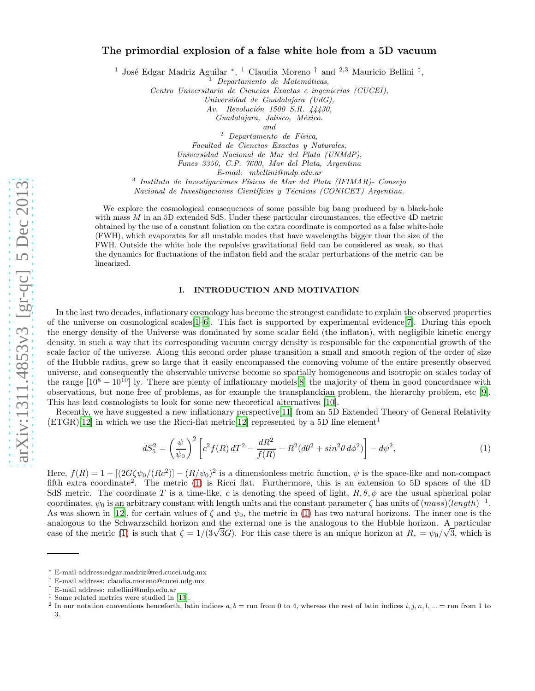# The primordial explosion of a false white hole from a 5D vacuu m

<sup>1</sup> José Edgar Madriz Aguilar<sup>\*</sup>, <sup>1</sup> Claudia Moreno<sup>†</sup> and <sup>2,3</sup> Mauricio Bellini<sup>†</sup>,

<sup>1</sup> *Departamento de Matem´aticas,*

*Centro Universitario de Ciencias Exactas e ingenier´ıas (CUCEI),*

*Universidad de Guadalajara (UdG),*

*Av. Revoluci´on 1500 S.R. 44430,*

*Guadalajara, Jalisco, M´exico.*

*and*

<sup>2</sup> *Departamento de F´ısica, Facultad de Ciencias Exactas y Naturales, Universidad Nacional de Mar del Plata (UNMdP), Funes 3350, C.P. 7600, Mar del Plata, Argentina*

*E-mail: mbellini@mdp.edu.ar*

3 *Instituto de Investigaciones F´ısicas de Mar del Plata (IFIMAR)- Consejo*

*Nacional de Investigaciones Científicas y Técnicas (CONICET) Argentina.* 

We explore the cosmological consequences of some possible big bang produced by a black-hole with mass  $M$  in an 5D extended SdS. Under these particular circumstances, the effective 4D metric obtained by the use of a constant foliation on the extra coordinate is comported as a false white-hole (FWH), which evaporates for all unstable modes that have wavelengths bigger than the size of the FWH. Outside the white hole the repulsive gravitational field can be considered as weak, so that the dynamics for fluctuations of the inflaton field and the scalar perturbations of the metric can be linearized.

#### I. INTRODUCTION AND MOTIVATION

In the last two decades, inflationary cosmology has become the strongest candidate to explain the observed properties of the universe on cosmological scales  $[-6]$ . This fact is supported by experimental evidence  $[7]$ . During this epoch the energy density of the Universe was dominated by some scalar field (the inflaton), with negligible kinetic energy density, in such a way that its corresponding vacuum energy density is responsible for the exponential growth of the scale factor of the universe. Along this second order phase transition a small and smooth region of the order of size of the Hubble radius, grew so large that it easily encompassed the comoving volume of the entire presently observed universe, and consequently the observable universe become so spatially homogeneous and isotropic on scales today of the range  $[10^8 - 10^{10}]$  ly. There are plenty of inflationary models[\[8\]](#page-8-3) the majority of them in good concordance with observations, but none free of problems, as for example the transplanckian problem, the hierarchy problem, etc [\[9\]](#page-8-4). This has lead cosmologists to look for some new theoretical alternatives [\[10\]](#page-8-5).

Recently, we have suggested a new inflationary perspective[\[11\]](#page-8-6) from an 5D Extended Theory of General Relativity  $(ETGR)[12]$  $(ETGR)[12]$  in which we use the Ricci-flat metric [12] represented by a 5D line element<sup>1</sup>

<span id="page-0-0"></span>
$$
dS_5^2 = \left(\frac{\psi}{\psi_0}\right)^2 \left[c^2 f(R) dT^2 - \frac{dR^2}{f(R)} - R^2 (d\theta^2 + \sin^2 \theta \, d\phi^2)\right] - d\psi^2,\tag{1}
$$

Here,  $f(R) = 1 - [(2G\zeta\psi_0/(Rc^2)] - (R/\psi_0)^2]$  is a dimensionless metric function,  $\psi$  is the space-like and non-compact fifth extra coordinate<sup>2</sup>. The metric [\(1\)](#page-0-0) is Ricci flat. Furthermore, this is an extension to 5D spaces of the 4D SdS metric. The coordinate T is a time-like, c is denoting the speed of light,  $R, \theta, \phi$  are the usual spherical polar coordinates,  $\psi_0$  is an arbitrary constant with length units and the constant parameter  $\zeta$  has units of  $(mass)(length)^{-1}$ . As was shown in [\[12](#page-8-7)], for certain values of  $\zeta$  and  $\psi_0$ , the metric in [\(1\)](#page-0-0) has two natural horizons. The inner one is the analogous to the Schwarzschild horizon and the external one is the analogous to the Hubble horizon. A particular case of the metric [\(1\)](#page-0-0) is such that  $\zeta = 1/(3\sqrt{3}G)$ . For this case there is an unique horizon at  $R_* = \psi_0/\sqrt{3}$ , which is

<sup>∗</sup> E-mail address:edgar.madriz@red.cucei.udg.mx

<sup>†</sup> E-mail address: claudia.moreno@cucei.udg.mx

 $1$  Some related metrics were studied in [\[13\]](#page-8-8).

<sup>&</sup>lt;sup>2</sup> In our notation conventions henceforth, latin indices a, b = run from 0 to 4, whereas the rest of latin indices i, j, n, l, ... = run from 1 to 3.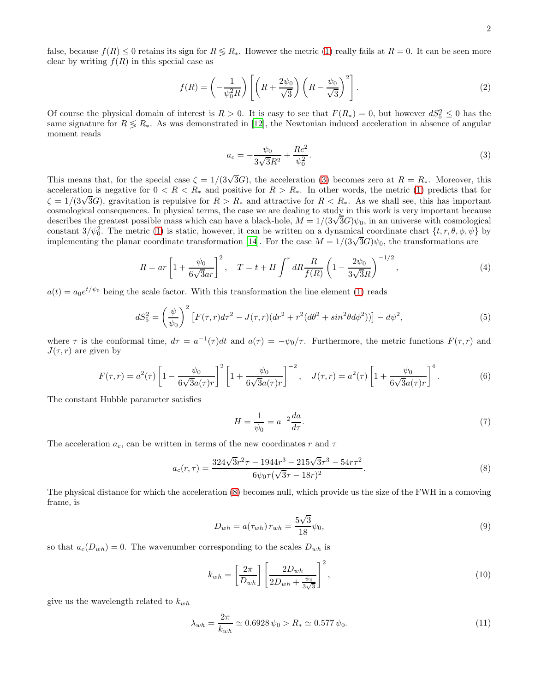false, because  $f(R) \leq 0$  retains its sign for  $R \leq R_*$ . However the metric [\(1\)](#page-0-0) really fails at  $R = 0$ . It can be seen more clear by writing  $f(R)$  in this special case as

$$
f(R) = \left(-\frac{1}{\psi_0^2 R}\right) \left[ \left(R + \frac{2\psi_0}{\sqrt{3}}\right) \left(R - \frac{\psi_0}{\sqrt{3}}\right)^2 \right].
$$
 (2)

Of course the physical domain of interest is  $R > 0$ . It is easy to see that  $F(R_*) = 0$ , but however  $dS_5^2 \leq 0$  has the same signature for  $R \le R_*$ . As was demonstrated in [\[12\]](#page-8-7), the Newtonian induced acceleration in absence of angular moment reads

<span id="page-1-0"></span>
$$
a_c = -\frac{\psi_0}{3\sqrt{3}R^2} + \frac{Rc^2}{\psi_0^2}.
$$
\n(3)

This means that, for the special case  $\zeta = 1/(3\sqrt{3}G)$ , the acceleration [\(3\)](#page-1-0) becomes zero at  $R = R_*$ . Moreover, this acceleration is negative for  $0 < R < R_*$  and positive for  $R > R_*$ . In other words, the metric [\(1\)](#page-0-0) predicts that for  $\zeta = 1/(3\sqrt{3}G)$ , gravitation is repulsive for  $R > R_*$  and attractive for  $R < R_*$ . As we shall see, this has important cosmological consequences. In physical terms, the case we are dealing to study in this work is very important because describes the greatest possible mass which can have a black-hole,  $M = 1/(3\sqrt{3}G)\psi_0$ , in an universe with cosmological constant  $3/\psi_0^2$ . The metric [\(1\)](#page-0-0) is static, however, it can be written on a dynamical coordinate chart  $\{t, r, \theta, \phi, \psi\}$  by implementing the planar coordinate transformation [\[14](#page-8-9)]. For the case  $M = 1/(3\sqrt{3}G)\psi_0$ , the transformations are

$$
R = ar\left[1 + \frac{\psi_0}{6\sqrt{3}ar}\right]^2, \quad T = t + H \int^r dR \frac{R}{f(R)} \left(1 - \frac{2\psi_0}{3\sqrt{3}R}\right)^{-1/2},\tag{4}
$$

 $a(t) = a_0 e^{t/\psi_0}$  being the scale factor. With this transformation the line element [\(1\)](#page-0-0) reads

<span id="page-1-2"></span>
$$
dS_5^2 = \left(\frac{\psi}{\psi_0}\right)^2 \left[ F(\tau, r) d\tau^2 - J(\tau, r) (dr^2 + r^2 (d\theta^2 + \sin^2 \theta d\phi^2)) \right] - d\psi^2,\tag{5}
$$

where  $\tau$  is the conformal time,  $d\tau = a^{-1}(\tau)dt$  and  $a(\tau) = -\psi_0/\tau$ . Furthermore, the metric functions  $F(\tau, r)$  and  $J(\tau, r)$  are given by

<span id="page-1-3"></span>
$$
F(\tau,r) = a^2(\tau) \left[ 1 - \frac{\psi_0}{6\sqrt{3}a(\tau)r} \right]^2 \left[ 1 + \frac{\psi_0}{6\sqrt{3}a(\tau)r} \right]^{-2}, \quad J(\tau,r) = a^2(\tau) \left[ 1 + \frac{\psi_0}{6\sqrt{3}a(\tau)r} \right]^4.
$$
 (6)

The constant Hubble parameter satisfies

$$
H = \frac{1}{\psi_0} = a^{-2} \frac{da}{d\tau}.
$$
 (7)

The acceleration  $a_c$ , can be written in terms of the new coordinates r and  $\tau$ 

<span id="page-1-1"></span>
$$
a_c(r,\tau) = \frac{324\sqrt{3}r^2\tau - 1944r^3 - 215\sqrt{3}\tau^3 - 54r\tau^2}{6\psi_0\tau(\sqrt{3}\tau - 18r)^2}.
$$
\n(8)

The physical distance for which the acceleration [\(8\)](#page-1-1) becomes null, which provide us the size of the FWH in a comoving frame, is

$$
D_{wh} = a(\tau_{wh}) r_{wh} = \frac{5\sqrt{3}}{18} \psi_0,
$$
\n(9)

so that  $a_c(D_{wh}) = 0$ . The wavenumber corresponding to the scales  $D_{wh}$  is

$$
k_{wh} = \left[\frac{2\pi}{D_{wh}}\right] \left[\frac{2D_{wh}}{2D_{wh} + \frac{\psi_0}{3\sqrt{3}}}\right]^2,
$$
\n(10)

give us the wavelength related to  $k_{wh}$ 

$$
\lambda_{wh} = \frac{2\pi}{k_{wh}} \simeq 0.6928 \,\psi_0 > R_* \simeq 0.577 \,\psi_0. \tag{11}
$$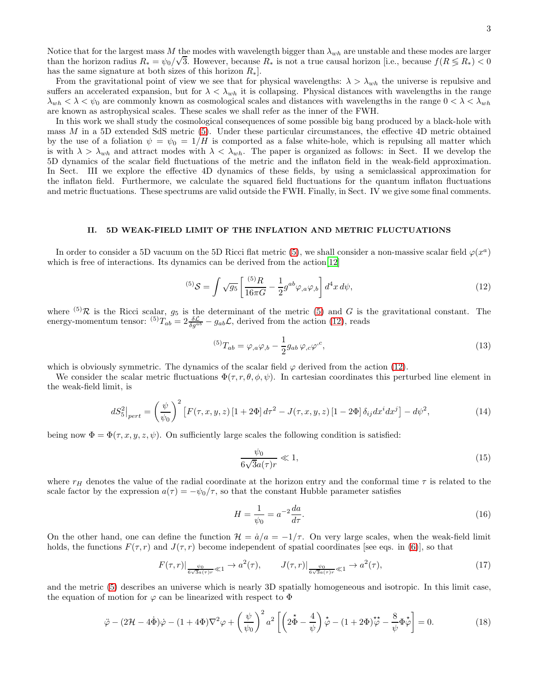Notice that for the largest mass M the modes with wavelength bigger than  $\lambda_{wh}$  are unstable and these modes are larger than the horizon radius  $R_* = \psi_0 / \sqrt{3}$ . However, because  $R_*$  is not a true causal horizon [i.e., because  $f(R \le R_*) < 0$ has the same signature at both sizes of this horizon  $R_*$ .

From the gravitational point of view we see that for physical wavelengths:  $\lambda > \lambda_{wh}$  the universe is repulsive and suffers an accelerated expansion, but for  $\lambda < \lambda_{wh}$  it is collapsing. Physical distances with wavelengths in the range  $\lambda_{wh} < \lambda < \psi_0$  are commonly known as cosmological scales and distances with wavelengths in the range  $0 < \lambda < \lambda_{wh}$ are known as astrophysical scales. These scales we shall refer as the inner of the FWH.

In this work we shall study the cosmological consequences of some possible big bang produced by a black-hole with mass M in a 5D extended SdS metric [\(5\)](#page-1-2). Under these particular circumstances, the effective 4D metric obtained by the use of a foliation  $\psi = \psi_0 = 1/H$  is comported as a false white-hole, which is repulsing all matter which is with  $\lambda > \lambda_{wh}$  and attract modes with  $\lambda < \lambda_{wh}$ . The paper is organized as follows: in Sect. II we develop the 5D dynamics of the scalar field fluctuations of the metric and the inflaton field in the weak-field approximation. In Sect. III we explore the effective 4D dynamics of these fields, by using a semiclassical approximation for the inflaton field. Furthermore, we calculate the squared field fluctuations for the quantum inflaton fluctuations and metric fluctuations. These spectrums are valid outside the FWH. Finally, in Sect. IV we give some final comments.

# II. 5D WEAK-FIELD LIMIT OF THE INFLATION AND METRIC FLUCTUATIONS

In order to consider a 5D vacuum on the 5D Ricci flat metric [\(5\)](#page-1-2), we shall consider a non-massive scalar field  $\varphi(x^a)$ which is free of interactions. Its dynamics can be derived from the action [\[12\]](#page-8-7)

<span id="page-2-0"></span>
$$
^{(5)}S = \int \sqrt{g_5} \left[ \frac{^{(5)}R}{16\pi G} - \frac{1}{2} g^{ab} \varphi_{,a} \varphi_{,b} \right] d^4x \, d\psi, \tag{12}
$$

where <sup>(5)</sup>R is the Ricci scalar,  $g_5$  is the determinant of the metric [\(5\)](#page-1-2) and G is the gravitational constant. The energy-momentum tensor:  $^{(5)}T_{ab} = 2 \frac{\delta \mathcal{L}}{\delta g^{ab}} - g_{ab} \mathcal{L}$ , derived from the action [\(12\)](#page-2-0), reads

$$
^{(5)}T_{ab} = \varphi_{,a}\varphi_{,b} - \frac{1}{2}g_{ab}\varphi_{,c}\varphi^{,c},\tag{13}
$$

which is obviously symmetric. The dynamics of the scalar field  $\varphi$  derived from the action [\(12\)](#page-2-0).

We consider the scalar metric fluctuations  $\Phi(\tau, r, \theta, \phi, \psi)$ . In cartesian coordinates this perturbed line element in the weak-field limit, is

<span id="page-2-2"></span>
$$
dS_5^2\big|_{pert} = \left(\frac{\psi}{\psi_0}\right)^2 \left[F(\tau, x, y, z)\left[1 + 2\Phi\right]d\tau^2 - J(\tau, x, y, z)\left[1 - 2\Phi\right]\delta_{ij}dx^i dx^j\right] - d\psi^2,\tag{14}
$$

being now  $\Phi = \Phi(\tau, x, y, z, \psi)$ . On sufficiently large scales the following condition is satisfied:

$$
\frac{\psi_0}{6\sqrt{3}a(\tau)r} \ll 1,\tag{15}
$$

where  $r_H$  denotes the value of the radial coordinate at the horizon entry and the conformal time  $\tau$  is related to the scale factor by the expression  $a(\tau) = -\psi_0/\tau$ , so that the constant Hubble parameter satisfies

$$
H = \frac{1}{\psi_0} = a^{-2} \frac{da}{d\tau}.
$$
\n(16)

On the other hand, one can define the function  $\mathcal{H} = \dot{a}/a = -1/\tau$ . On very large scales, when the weak-field limit holds, the functions  $F(\tau, r)$  and  $J(\tau, r)$  become independent of spatial coordinates [see eqs. in [\(6\)](#page-1-3)], so that

$$
F(\tau,r)|_{\frac{\psi_0}{6\sqrt{3}a(\tau)r}\ll 1} \to a^2(\tau), \qquad J(\tau,r)|_{\frac{\psi_0}{6\sqrt{3}a(\tau)r}\ll 1} \to a^2(\tau), \tag{17}
$$

and the metric [\(5\)](#page-1-2) describes an universe which is nearly 3D spatially homogeneous and isotropic. In this limit case, the equation of motion for  $\varphi$  can be linearized with respect to  $\Phi$ 

<span id="page-2-1"></span>
$$
\ddot{\varphi} - (2\mathcal{H} - 4\dot{\Phi})\dot{\varphi} - (1 + 4\Phi)\nabla^2\varphi + \left(\frac{\psi}{\psi_0}\right)^2 a^2 \left[ \left(2\dot{\Phi} - \frac{4}{\psi}\right)\dot{\varphi} - (1 + 2\Phi)\dot{\varphi} - \frac{8}{\psi}\Phi\dot{\varphi} \right] = 0.
$$
 (18)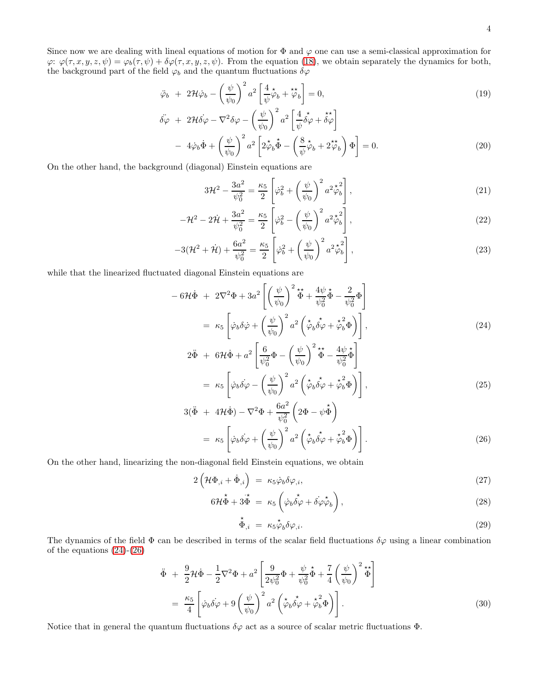Since now we are dealing with lineal equations of motion for  $\Phi$  and  $\varphi$  one can use a semi-classical approximation for  $\varphi: \varphi(\tau, x, y, z, \psi) = \varphi_b(\tau, \psi) + \delta \varphi(\tau, x, y, z, \psi)$ . From the equation [\(18\)](#page-2-1), we obtain separately the dynamics for both, the background part of the field  $\varphi_b$  and the quantum fluctuations  $\delta\varphi$ 

<span id="page-3-1"></span>
$$
\ddot{\varphi}_b + 2\mathcal{H}\dot{\varphi}_b - \left(\frac{\psi}{\psi_0}\right)^2 a^2 \left[\frac{4}{\psi}\dot{\varphi}_b + \ddot{\varphi}_b\right] = 0, \tag{19}
$$

$$
\ddot{\delta\varphi} + 2\mathcal{H}\dot{\delta\varphi} - \nabla^2 \delta\varphi - \left(\frac{\psi}{\psi_0}\right)^2 a^2 \left[\frac{4}{\psi}\dot{\delta\varphi} + \dot{\delta\varphi}\right] \n- 4\dot{\varphi}_b \dot{\Phi} + \left(\frac{\psi}{\psi_0}\right)^2 a^2 \left[2\dot{\zeta}_b \dot{\Phi} - \left(\frac{8}{\psi}\dot{\zeta}_b + 2\dot{\zeta}_b\right)\Phi\right] = 0.
$$
\n(20)

On the other hand, the background (diagonal) Einstein equations are

<span id="page-3-2"></span>
$$
3\mathcal{H}^2 - \frac{3a^2}{\psi_0^2} = \frac{\kappa_5}{2} \left[ \dot{\varphi}_b^2 + \left( \frac{\psi}{\psi_0} \right)^2 a^2 \dot{\varphi}_b^2 \right],
$$
 (21)

$$
-\mathcal{H}^2 - 2\dot{\mathcal{H}} + \frac{3a^2}{\psi_0^2} = \frac{\kappa_5}{2} \left[ \dot{\varphi}_b^2 - \left( \frac{\psi}{\psi_0} \right)^2 a^2 \dot{\varphi}_b^2 \right],
$$
 (22)

$$
-3(\mathcal{H}^2 + \dot{\mathcal{H}}) + \frac{6a^2}{\psi_0^2} = \frac{\kappa_5}{2} \left[ \dot{\varphi}_b^2 + \left( \frac{\psi}{\psi_0} \right)^2 a^2 \dot{\varphi}_b^2 \right],
$$
\n(23)

while that the linearized fluctuated diagonal Einstein equations are

<span id="page-3-0"></span>
$$
- 6\mathcal{H}\dot{\Phi} + 2\nabla^2\Phi + 3a^2 \left[ \left( \frac{\psi}{\psi_0} \right)^2 \dot{\Phi} + \frac{4\psi}{\psi_0^2} \dot{\Phi} - \frac{2}{\psi_0^2} \Phi \right]
$$

$$
= \kappa_5 \left[ \dot{\varphi}_b \delta \dot{\varphi} + \left( \frac{\psi}{\psi_0} \right)^2 a^2 \left( \dot{\varphi}_b \dot{\delta \varphi} + \dot{\varphi}_b^2 \Phi \right) \right],
$$
(24)

$$
2\ddot{\Phi} + 6\mathcal{H}\dot{\Phi} + a^2 \left[ \frac{6}{\psi_0^2} \Phi - \left( \frac{\psi}{\psi_0} \right)^2 \dot{\Phi} - \frac{4\psi}{\psi_0^2} \dot{\Phi} \right]
$$
  
=  $\kappa_5 \left[ \dot{\varphi}_b \dot{\delta} \varphi - \left( \frac{\psi}{\psi_0} \right)^2 a^2 \left( \dot{\tilde{\phi}}_b \dot{\tilde{\phi}} \varphi + \dot{\tilde{\phi}}_b^2 \Phi \right) \right],$  (25)

$$
3(\ddot{\Phi} + 4\mathcal{H}\dot{\Phi}) - \nabla^2 \Phi + \frac{6a^2}{\psi_0^2} \left(2\Phi - \psi \dot{\Phi}\right)
$$
  
=  $\kappa_5 \left[\dot{\varphi}_b \dot{\delta\varphi} + \left(\frac{\psi}{\psi_0}\right)^2 a^2 \left(\dot{\varphi}_b \dot{\delta\varphi} + \dot{\varphi}_b^2 \Phi\right)\right].$  (26)

On the other hand, linearizing the non-diagonal field Einstein equations, we obtain

<span id="page-3-3"></span>
$$
2\left(\mathcal{H}\Phi_{,i}+\dot{\Phi}_{,i}\right) = \kappa_5\dot{\varphi}_b\delta\varphi_{,i},\tag{27}
$$

$$
6\mathcal{H}\dot{\Phi} + 3\dot{\Phi} = \kappa_5 \left( \dot{\varphi}_b \dot{\delta\varphi} + \dot{\delta\varphi}\dot{\varphi}_b \right),\tag{28}
$$

$$
\stackrel{\star}{\Phi}_{,i} = \kappa_5 \stackrel{\star}{\varphi}_b \delta \varphi_{,i}.\tag{29}
$$

The dynamics of the field  $\Phi$  can be described in terms of the scalar field fluctuations  $\delta\varphi$  using a linear combination of the equations [\(24\)](#page-3-0)-[\(26\)](#page-3-0)

<span id="page-3-4"></span>
$$
\ddot{\Phi} + \frac{9}{2} \mathcal{H} \dot{\Phi} - \frac{1}{2} \nabla^2 \Phi + a^2 \left[ \frac{9}{2 \psi_0^2} \Phi + \frac{\psi}{\psi_0^2} \dot{\Phi} + \frac{7}{4} \left( \frac{\psi}{\psi_0} \right)^2 \dot{\Phi} \right]
$$
\n
$$
= \frac{\kappa_5}{4} \left[ \dot{\varphi}_b \dot{\delta \varphi} + 9 \left( \frac{\psi}{\psi_0} \right)^2 a^2 \left( \dot{\varphi}_b \dot{\delta \varphi} + \dot{\varphi}_b^2 \Phi \right) \right].
$$
\n(30)

Notice that in general the quantum fluctuations  $\delta\varphi$  act as a source of scalar metric fluctuations  $\Phi$ .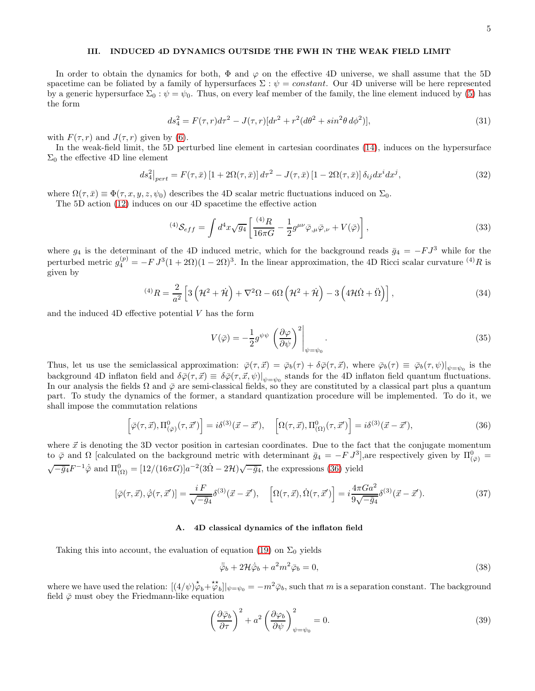# III. INDUCED 4D DYNAMICS OUTSIDE THE FWH IN THE WEAK FIELD LIMIT

In order to obtain the dynamics for both,  $\Phi$  and  $\varphi$  on the effective 4D universe, we shall assume that the 5D spacetime can be foliated by a family of hypersurfaces  $\Sigma : \psi = constant$ . Our 4D universe will be here represented by a generic hypersurface  $\Sigma_0$ :  $\psi = \psi_0$ . Thus, on every leaf member of the family, the line element induced by [\(5\)](#page-1-2) has the form

$$
ds_4^2 = F(\tau, r)d\tau^2 - J(\tau, r)[dr^2 + r^2(d\theta^2 + \sin^2\theta \, d\phi^2)],
$$
\n(31)

with  $F(\tau, r)$  and  $J(\tau, r)$  given by [\(6\)](#page-1-3).

In the weak-field limit, the 5D perturbed line element in cartesian coordinates [\(14\)](#page-2-2), induces on the hypersurface  $\Sigma_0$  the effective 4D line element

$$
ds_4^2|_{pert} = F(\tau,\bar{x})\left[1+2\Omega(\tau,\bar{x})\right]d\tau^2 - J(\tau,\bar{x})\left[1-2\Omega(\tau,\bar{x})\right]\delta_{ij}dx^idx^j,
$$
\n(32)

where  $\Omega(\tau,\bar{x}) \equiv \Phi(\tau,x,y,z,\psi_0)$  describes the 4D scalar metric fluctuations induced on  $\Sigma_0$ .

The 5D action [\(12\)](#page-2-0) induces on our 4D spacetime the effective action

$$
^{(4)}\mathcal{S}_{eff} = \int d^4x \sqrt{g_4} \left[ \frac{^{(4)}R}{16\pi G} - \frac{1}{2} g^{\mu\nu} \bar{\varphi}_{,\mu} \bar{\varphi}_{,\nu} + V(\bar{\varphi}) \right], \tag{33}
$$

where  $g_4$  is the determinant of the 4D induced metric, which for the background reads  $\bar{g}_4 = -FJ^3$  while for the perturbed metric  $g_4^{(p)} = -F J^3 (1 + 2\Omega)(1 - 2\Omega)^3$ . In the linear approximation, the 4D Ricci scalar curvature <sup>(4)</sup>R is given by

$$
^{(4)}R = \frac{2}{a^2} \left[ 3\left(\mathcal{H}^2 + \dot{\mathcal{H}}\right) + \nabla^2 \Omega - 6\Omega \left(\mathcal{H}^2 + \dot{\mathcal{H}}\right) - 3\left(4\mathcal{H}\dot{\Omega} + \ddot{\Omega}\right) \right],\tag{34}
$$

and the induced  $4D$  effective potential  $V$  has the form

$$
V(\bar{\varphi}) = -\frac{1}{2}g^{\psi\psi} \left(\frac{\partial\varphi}{\partial\psi}\right)^2 \bigg|_{\psi=\psi_0}.
$$
\n(35)

Thus, let us use the semiclassical approximation:  $\bar{\varphi}(\tau, \vec{x}) = \bar{\varphi}_b(\tau) + \delta \bar{\varphi}(\tau, \vec{x})$ , where  $\bar{\varphi}_b(\tau) \equiv \bar{\varphi}_b(\tau, \psi)|_{\psi = \psi_0}$  is the background 4D inflaton field and  $\delta\bar{\varphi}(\tau, \vec{x}) \equiv \delta\bar{\varphi}(\tau, \vec{x}, \psi)|_{\psi = \psi_0}$  stands for the 4D inflaton field quantum fluctuations. In our analysis the fields  $\Omega$  and  $\bar{\varphi}$  are semi-classical fields, so they are constituted by a classical part plus a quantum part. To study the dynamics of the former, a standard quantization procedure will be implemented. To do it, we shall impose the commutation relations

<span id="page-4-0"></span>
$$
\left[\bar{\varphi}(\tau,\vec{x}),\Pi_{(\bar{\varphi})}^{0}(\tau,\vec{x}')\right] = i\delta^{(3)}(\vec{x}-\vec{x}'),\quad \left[\Omega(\tau,\vec{x}),\Pi_{(\Omega)}^{0}(\tau,\vec{x}')\right] = i\delta^{(3)}(\vec{x}-\vec{x}'),\tag{36}
$$

where  $\vec{x}$  is denoting the 3D vector position in cartesian coordinates. Due to the fact that the conjugate momentum to  $\bar{\varphi}$  and  $\Omega$  [calculated on the background metric with determinant  $\bar{g}_4 = -F J^3$ ], are respectively given by  $\Pi_{(\bar{\varphi})}^0 =$  $\sqrt{-\bar{g}_4}F^{-1}\dot{\bar{\varphi}}$  and  $\Pi_{(\Omega)}^0 = [12/(16\pi G)]a^{-2}(3\dot{\Omega} - 2\mathcal{H})\sqrt{-\bar{g}_4}$ , the expressions [\(36\)](#page-4-0) yield

$$
[\bar{\varphi}(\tau,\vec{x}), \dot{\bar{\varphi}}(\tau,\vec{x}')] = \frac{iF}{\sqrt{-\bar{g}_4}} \delta^{(3)}(\vec{x}-\vec{x}'), \quad \left[\Omega(\tau,\vec{x}), \dot{\Omega}(\tau,\vec{x}')\right] = i\frac{4\pi G a^2}{9\sqrt{-\bar{g}_4}} \delta^{(3)}(\vec{x}-\vec{x}'). \tag{37}
$$

#### A. 4D classical dynamics of the inflaton field

Taking this into account, the evaluation of equation [\(19\)](#page-3-1) on  $\Sigma_0$  yields

<span id="page-4-1"></span>
$$
\ddot{\varphi}_b + 2\mathcal{H}\dot{\varphi}_b + a^2 m^2 \bar{\varphi}_b = 0,\tag{38}
$$

where we have used the relation:  $[(4/\psi)\phi_b + \phi_b]_{\psi=\psi_0} = -m^2\bar{\varphi}_b$ , such that m is a separation constant. The background field  $\bar{\varphi}$  must obey the Friedmann-like equation

<span id="page-4-2"></span>
$$
\left(\frac{\partial \bar{\varphi}_b}{\partial \tau}\right)^2 + a^2 \left(\frac{\partial \varphi_b}{\partial \psi}\right)^2_{\psi = \psi_0} = 0.
$$
\n(39)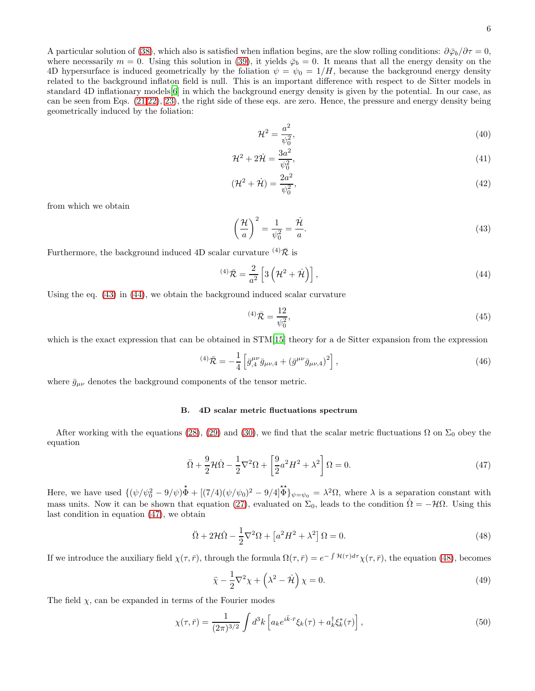A particular solution of [\(38\)](#page-4-1), which also is satisfied when inflation begins, are the slow rolling conditions:  $\partial \bar{\varphi}_b / \partial \tau = 0$ , where necessarily  $m = 0$ . Using this solution in [\(39\)](#page-4-2), it yields  $\bar{\varphi}_b = 0$ . It means that all the energy density on the 4D hypersurface is induced geometrically by the foliation  $\psi = \psi_0 = 1/H$ , because the background energy density related to the background inflaton field is null. This is an important difference with respect to de Sitter models in standard 4D inflationary models[\[6\]](#page-8-1) in which the background energy density is given by the potential. In our case, as can be seen from Eqs. [\(21,22\)](#page-3-2), [23\)](#page-3-2), the right side of these eqs. are zero. Hence, the pressure and energy density being geometrically induced by the foliation:

$$
\mathcal{H}^2 = \frac{a^2}{\psi_0^2},\tag{40}
$$

$$
\mathcal{H}^2 + 2\dot{\mathcal{H}} = \frac{3a^2}{\psi_0^2},\tag{41}
$$

$$
(\mathcal{H}^2 + \dot{\mathcal{H}}) = \frac{2a^2}{\psi_0^2},\tag{42}
$$

from which we obtain

<span id="page-5-0"></span>
$$
\left(\frac{\mathcal{H}}{a}\right)^2 = \frac{1}{\psi_0^2} = \frac{\dot{\mathcal{H}}}{a}.
$$
\n(43)

Furthermore, the background induced 4D scalar curvature  $(4)\bar{\mathcal{R}}$  is

<span id="page-5-1"></span>
$$
^{(4)}\bar{\mathcal{R}} = \frac{2}{a^2} \left[ 3\left(\mathcal{H}^2 + \dot{\mathcal{H}}\right) \right],\tag{44}
$$

Using the eq. [\(43\)](#page-5-0) in [\(44\)](#page-5-1), we obtain the background induced scalar curvature

$$
^{(4)}\bar{\mathcal{R}} = \frac{12}{\psi_0^2},\tag{45}
$$

which is the exact expression that can be obtained in  $STM[15]$  $STM[15]$  theory for a de Sitter expansion from the expression

$$
^{(4)}\bar{\mathcal{R}} = -\frac{1}{4} \left[ \bar{g}_{,4}^{\mu\nu} \bar{g}_{\mu\nu,4} + (\bar{g}^{\mu\nu} \bar{g}_{\mu\nu,4})^2 \right],
$$
\n(46)

where  $\bar{g}_{\mu\nu}$  denotes the background components of the tensor metric.

### B. 4D scalar metric fluctuations spectrum

After working with the equations [\(28\)](#page-3-3), [\(29\)](#page-3-3) and [\(30\)](#page-3-4), we find that the scalar metric fluctuations  $\Omega$  on  $\Sigma_0$  obey the equation

<span id="page-5-2"></span>
$$
\ddot{\Omega} + \frac{9}{2} \mathcal{H} \dot{\Omega} - \frac{1}{2} \nabla^2 \Omega + \left[ \frac{9}{2} a^2 H^2 + \lambda^2 \right] \Omega = 0. \tag{47}
$$

Here, we have used  $\{(\psi/\psi_0^2 - 9/\psi)\dot{\Phi} + [(\frac{7}{4})(\psi/\psi_0)^2 - 9/4]\dot{\Phi}\}_{\psi=\psi_0} = \lambda^2 \Omega$ , where  $\lambda$  is a separation constant with mass units. Now it can be shown that equation [\(27\)](#page-3-3), evaluated on  $\Sigma_0$ , leads to the condition  $\dot{\Omega} = -\mathcal{H}\Omega$ . Using this last condition in equation [\(47\)](#page-5-2), we obtain

<span id="page-5-3"></span>
$$
\ddot{\Omega} + 2\mathcal{H}\dot{\Omega} - \frac{1}{2}\nabla^2\Omega + \left[a^2H^2 + \lambda^2\right]\Omega = 0.
$$
\n(48)

If we introduce the auxiliary field  $\chi(\tau,\bar{r})$ , through the formula  $\Omega(\tau,\bar{r}) = e^{-\int \mathcal{H}(\tau)d\tau}\chi(\tau,\bar{r})$ , the equation [\(48\)](#page-5-3), becomes

<span id="page-5-5"></span>
$$
\ddot{\chi} - \frac{1}{2}\nabla^2 \chi + \left(\lambda^2 - \dot{\mathcal{H}}\right)\chi = 0.
$$
\n(49)

The field  $\chi$ , can be expanded in terms of the Fourier modes

<span id="page-5-4"></span>
$$
\chi(\tau,\bar{r}) = \frac{1}{(2\pi)^{3/2}} \int d^3k \left[ a_k e^{i\bar{k}\cdot\bar{r}} \xi_k(\tau) + a_k^{\dagger} \xi_k^*(\tau) \right],\tag{50}
$$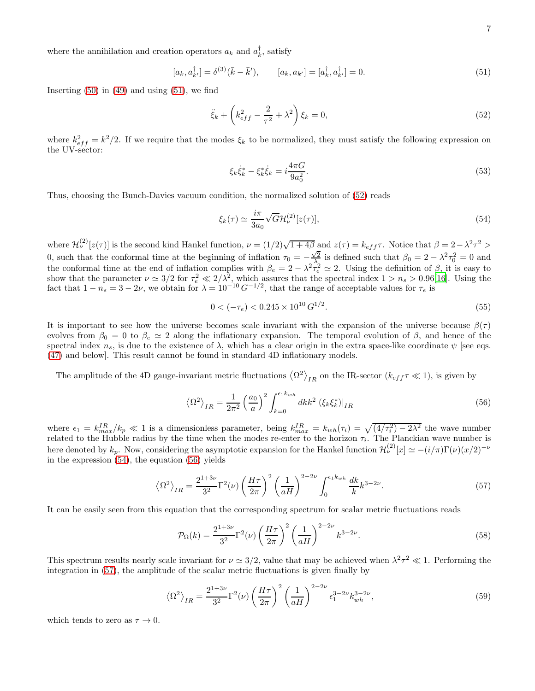where the annihilation and creation operators  $a_k$  and  $a_k^{\dagger}$ , satisfy

<span id="page-6-0"></span>
$$
[a_k, a_{k'}^{\dagger}] = \delta^{(3)}(\bar{k} - \bar{k}'), \qquad [a_k, a_{k'}] = [a_k^{\dagger}, a_{k'}^{\dagger}] = 0.
$$
 (51)

Inserting  $(50)$  in  $(49)$  and using  $(51)$ , we find

<span id="page-6-1"></span>
$$
\ddot{\xi}_k + \left(k_{eff}^2 - \frac{2}{\tau^2} + \lambda^2\right)\xi_k = 0,
$$
\n(52)

where  $k_{eff}^2 = k^2/2$ . If we require that the modes  $\xi_k$  to be normalized, they must satisfy the following expression on the UV-sector:

$$
\xi_k \dot{\xi}_k^* - \xi_k^* \dot{\xi}_k = i \frac{4\pi G}{9a_0^2}.
$$
\n(53)

Thus, choosing the Bunch-Davies vacuum condition, the normalized solution of [\(52\)](#page-6-1) reads

<span id="page-6-2"></span>
$$
\xi_k(\tau) \simeq \frac{i\pi}{3a_0} \sqrt{G} \mathcal{H}^{(2)}_{\nu}[z(\tau)],\tag{54}
$$

where  $\mathcal{H}^{(2)}_{\nu}[z(\tau)]$  is the second kind Hankel function,  $\nu = (1/2)\sqrt{1+4\beta}$  and  $z(\tau) = k_{eff}\tau$ . Notice that  $\beta = 2 - \lambda^2 \tau^2 >$ 0, such that the conformal time at the beginning of inflation  $\tau_0 = -\frac{\sqrt{2}}{\lambda_0}$  is defined such that  $\beta_0 = 2 - \lambda^2 \tau_0^2 = 0$  and the conformal time at the end of inflation complies with  $\beta_e = 2 - \lambda^2 \tau_e^2 \simeq 2$ . Using the definition of  $\beta$ , it is easy to show that the parameter  $\nu \approx 3/2$  for  $\tau_e^2 \ll 2/\lambda^2$ , which assures that the spectral index  $1 > n_s > 0.96[16]$  $1 > n_s > 0.96[16]$ . Using the fact that  $1 - n_s = 3 - 2\nu$ , we obtain for  $\lambda = 10^{-10} G^{-1/2}$ , that the range of acceptable values for  $\tau_e$  is

$$
0 < (-\tau_e) < 0.245 \times 10^{10} \, G^{1/2}.
$$
\n
$$
(55)
$$

It is important to see how the universe becomes scale invariant with the expansion of the universe because  $\beta(\tau)$ evolves from  $\beta_0 = 0$  to  $\beta_e \simeq 2$  along the inflationary expansion. The temporal evolution of  $\beta$ , and hence of the spectral index  $n_s$ , is due to the existence of  $\lambda$ , which has a clear origin in the extra space-like coordinate  $\psi$  [see eqs. [\(47\)](#page-5-2) and below]. This result cannot be found in standard 4D inflationary models.

The amplitude of the 4D gauge-invariant metric fluctuations  $\langle \Omega^2 \rangle_{IR}$  on the IR-sector  $(k_{eff} \tau \ll 1)$ , is given by

<span id="page-6-3"></span>
$$
\left\langle \Omega^2 \right\rangle_{IR} = \frac{1}{2\pi^2} \left( \frac{a_0}{a} \right)^2 \int_{k=0}^{\epsilon_1 k_{wh}} dk k^2 \left( \xi_k \xi_k^* \right) \big|_{IR} \tag{56}
$$

where  $\epsilon_1 = k_{max}^{IR}/k_p \ll 1$  is a dimensionless parameter, being  $k_{max}^{IR} = k_{wh}(\tau_i) = \sqrt{(4/\tau_i^2) - 2\lambda^2}$  the wave number related to the Hubble radius by the time when the modes re-enter to the horizon  $\tau_i$ . The Planckian wave number is here denoted by  $k_p$ . Now, considering the asymptotic expansion for the Hankel function  $\mathcal{H}^{(2)}_{\nu}[x] \simeq -(i/\pi)\Gamma(\nu)(x/2)^{-\nu}$ in the expression [\(54\)](#page-6-2), the equation [\(56\)](#page-6-3) yields

<span id="page-6-4"></span>
$$
\left\langle \Omega^2 \right\rangle_{IR} = \frac{2^{1+3\nu}}{3^2} \Gamma^2(\nu) \left(\frac{H\tau}{2\pi}\right)^2 \left(\frac{1}{aH}\right)^{2-2\nu} \int_0^{\epsilon_1 k_{wh}} \frac{dk}{k} k^{3-2\nu} . \tag{57}
$$

It can be easily seen from this equation that the corresponding spectrum for scalar metric fluctuations reads

$$
\mathcal{P}_{\Omega}(k) = \frac{2^{1+3\nu}}{3^2} \Gamma^2(\nu) \left(\frac{H\tau}{2\pi}\right)^2 \left(\frac{1}{aH}\right)^{2-2\nu} k^{3-2\nu}.
$$
\n(58)

This spectrum results nearly scale invariant for  $\nu \approx 3/2$ , value that may be achieved when  $\lambda^2 \tau^2 \ll 1$ . Performing the integration in [\(57\)](#page-6-4), the amplitude of the scalar metric fluctuations is given finally by

$$
\langle \Omega^2 \rangle_{IR} = \frac{2^{1+3\nu}}{3^2} \Gamma^2(\nu) \left(\frac{H\tau}{2\pi}\right)^2 \left(\frac{1}{aH}\right)^{2-2\nu} \epsilon_1^{3-2\nu} k_{wh}^{3-2\nu},\tag{59}
$$

which tends to zero as  $\tau \to 0$ .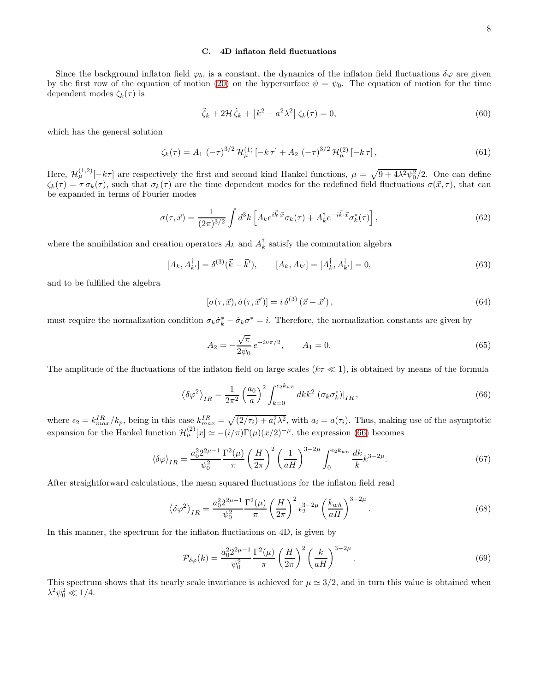## C. 4D inflaton field fluctuations

Since the background inflaton field  $\varphi_b$ , is a constant, the dynamics of the inflaton field fluctuations  $\delta\varphi$  are given by the first row of the equation of motion [\(20\)](#page-3-1) on the hypersurface  $\psi = \psi_0$ . The equation of motion for the time dependent modes  $\zeta_k(\tau)$  is

$$
\ddot{\zeta}_k + 2\mathcal{H}\dot{\zeta}_k + \left[k^2 - a^2\lambda^2\right]\zeta_k(\tau) = 0,\tag{60}
$$

which has the general solution

$$
\zeta_k(\tau) = A_1 \left(-\tau\right)^{3/2} \mathcal{H}_{\mu}^{(1)}\left[-k \,\tau\right] + A_2 \left(-\tau\right)^{3/2} \mathcal{H}_{\mu}^{(2)}\left[-k \,\tau\right],\tag{61}
$$

Here,  $\mathcal{H}^{(1,2)}_{\mu}[-k\tau]$  are respectively the first and second kind Hankel functions,  $\mu = \sqrt{9 + 4\lambda^2 \psi_0^2}/2$ . One can define  $\zeta_k(\tau) = \tau \sigma_k(\tau)$ , such that  $\sigma_k(\tau)$  are the time dependent modes for the redefined field fluctuations  $\sigma(\vec{x}, \tau)$ , that can be expanded in terms of Fourier modes

$$
\sigma(\tau,\vec{x}) = \frac{1}{(2\pi)^{3/2}} \int d^3k \left[ A_k e^{i\vec{k}\cdot\vec{x}} \sigma_k(\tau) + A_k^\dagger e^{-i\vec{k}\cdot\vec{x}} \sigma_k^*(\tau) \right],\tag{62}
$$

where the annihilation and creation operators  $A_k$  and  $A_k^{\dagger}$  satisfy the commutation algebra

$$
[A_k, A_{k'}^\dagger] = \delta^{(3)}(\vec{k} - \vec{k}'), \qquad [A_k, A_{k'}] = [A_k^\dagger, A_{k'}^\dagger] = 0,
$$
\n(63)

and to be fulfilled the algebra

$$
[\sigma(\tau, \vec{x}), \dot{\sigma}(\tau, \vec{x}')] = i \,\delta^{(3)}\left(\vec{x} - \vec{x}'\right),\tag{64}
$$

must require the normalization condition  $\sigma_k \dot{\sigma}_k^* - \dot{\sigma}_k \sigma^* = i$ . Therefore, the normalization constants are given by

$$
A_2 = -\frac{\sqrt{\pi}}{2\psi_0} e^{-i\nu\pi/2}, \qquad A_1 = 0.
$$
 (65)

The amplitude of the fluctuations of the inflaton field on large scales ( $k\tau \ll 1$ ), is obtained by means of the formula

<span id="page-7-0"></span>
$$
\left\langle \delta \varphi^2 \right\rangle_{IR} = \frac{1}{2\pi^2} \left( \frac{a_0}{a} \right)^2 \int_{k=0}^{\epsilon_2 k_{wh}} dk k^2 \left( \sigma_k \sigma_k^* \right) \Big|_{IR},\tag{66}
$$

where  $\epsilon_2 = k_{max}^{IR}/k_p$ , being in this case  $k_{max}^{IR} = \sqrt{(2/\tau_i) + a_i^2 \lambda^2}$ , with  $a_i = a(\tau_i)$ . Thus, making use of the asymptotic expansion for the Hankel function  $\mathcal{H}^{(2)}_{\mu}[x] \simeq -(i/\pi)\Gamma(\mu)(x/2)^{-\mu}$ , the expression [\(66\)](#page-7-0) becomes

$$
\langle \delta \varphi \rangle_{IR} = \frac{a_0^2 2^{2\mu - 1}}{\psi_0^2} \frac{\Gamma^2(\mu)}{\pi} \left(\frac{H}{2\pi}\right)^2 \left(\frac{1}{aH}\right)^{3-2\mu} \int_0^{\epsilon_2 k_{wh}} \frac{dk}{k} k^{3-2\mu}.
$$
 (67)

After straightforward calculations, the mean squared fluctuations for the inflaton field read

$$
\left\langle \delta \varphi^2 \right\rangle_{IR} = \frac{a_0^2 2^{2\mu - 1}}{\psi_0^2} \frac{\Gamma^2(\mu)}{\pi} \left( \frac{H}{2\pi} \right)^2 \epsilon_2^{3 - 2\mu} \left( \frac{k_{wh}}{aH} \right)^{3 - 2\mu} . \tag{68}
$$

In this manner, the spectrum for the inflaton fluctiations on 4D, is given by

$$
\mathcal{P}_{\delta\varphi}(k) = \frac{a_0^2 2^{2\mu - 1}}{\psi_0^2} \frac{\Gamma^2(\mu)}{\pi} \left(\frac{H}{2\pi}\right)^2 \left(\frac{k}{aH}\right)^{3-2\mu}.
$$
\n
$$
(69)
$$

This spectrum shows that its nearly scale invariance is achieved for  $\mu \approx 3/2$ , and in turn this value is obtained when  $\lambda^2 \psi_0^2 \ll 1/4.$